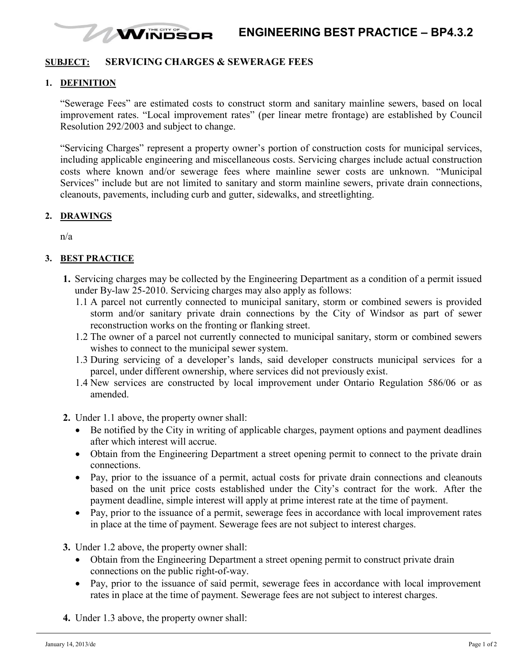#### WINDSOR **ENGINEERING BEST PRACTICE – BP4.3.2**

## **SUBJECT: SERVICING CHARGES & SEWERAGE FEES**

#### **1. DEFINITION**

"Sewerage Fees" are estimated costs to construct storm and sanitary mainline sewers, based on local improvement rates. "Local improvement rates" (per linear metre frontage) are established by Council Resolution 292/2003 and subject to change.

"Servicing Charges" represent a property owner's portion of construction costs for municipal services, including applicable engineering and miscellaneous costs. Servicing charges include actual construction costs where known and/or sewerage fees where mainline sewer costs are unknown. "Municipal Services" include but are not limited to sanitary and storm mainline sewers, private drain connections, cleanouts, pavements, including curb and gutter, sidewalks, and streetlighting.

#### **2. DRAWINGS**

n/a

### **3. BEST PRACTICE**

- **1.** Servicing charges may be collected by the Engineering Department as a condition of a permit issued under By-law 25-2010. Servicing charges may also apply as follows:
	- 1.1 A parcel not currently connected to municipal sanitary, storm or combined sewers is provided storm and/or sanitary private drain connections by the City of Windsor as part of sewer reconstruction works on the fronting or flanking street.
	- 1.2 The owner of a parcel not currently connected to municipal sanitary, storm or combined sewers wishes to connect to the municipal sewer system.
	- 1.3 During servicing of a developer's lands, said developer constructs municipal services for a parcel, under different ownership, where services did not previously exist.
	- 1.4 New services are constructed by local improvement under Ontario Regulation 586/06 or as amended.
- **2.** Under 1.1 above, the property owner shall:
	- Be notified by the City in writing of applicable charges, payment options and payment deadlines after which interest will accrue.
	- Obtain from the Engineering Department a street opening permit to connect to the private drain connections.
	- Pay, prior to the issuance of a permit, actual costs for private drain connections and cleanouts based on the unit price costs established under the City's contract for the work. After the payment deadline, simple interest will apply at prime interest rate at the time of payment.
	- Pay, prior to the issuance of a permit, sewerage fees in accordance with local improvement rates in place at the time of payment. Sewerage fees are not subject to interest charges.

**3.** Under 1.2 above, the property owner shall:

- Obtain from the Engineering Department a street opening permit to construct private drain connections on the public right-of-way.
- Pay, prior to the issuance of said permit, sewerage fees in accordance with local improvement rates in place at the time of payment. Sewerage fees are not subject to interest charges.
- **4.** Under 1.3 above, the property owner shall: